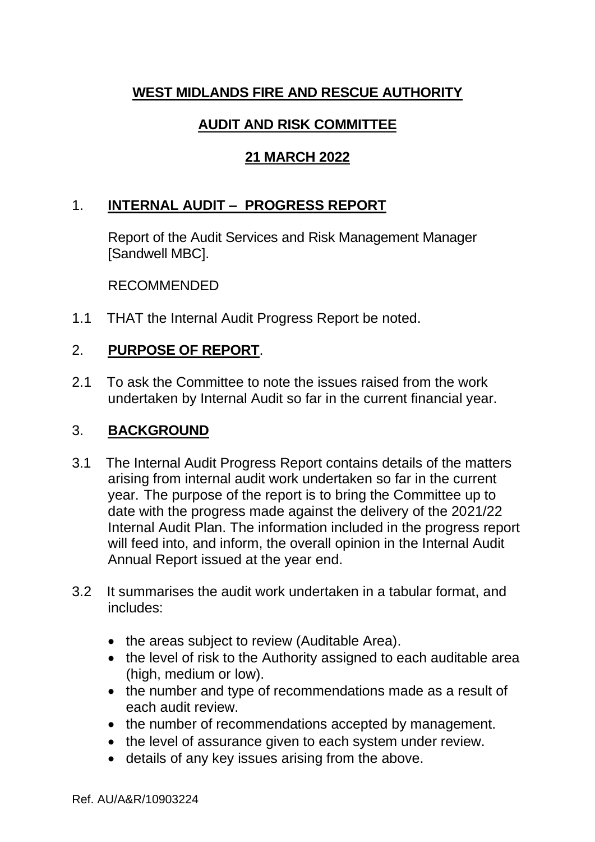# **WEST MIDLANDS FIRE AND RESCUE AUTHORITY**

## **AUDIT AND RISK COMMITTEE**

## **21 MARCH 2022**

## 1. **INTERNAL AUDIT – PROGRESS REPORT**

Report of the Audit Services and Risk Management Manager [Sandwell MBC].

RECOMMENDED

1.1 THAT the Internal Audit Progress Report be noted.

### 2. **PURPOSE OF REPORT**.

2.1 To ask the Committee to note the issues raised from the work undertaken by Internal Audit so far in the current financial year.

#### 3. **BACKGROUND**

- 3.1 The Internal Audit Progress Report contains details of the matters arising from internal audit work undertaken so far in the current year. The purpose of the report is to bring the Committee up to date with the progress made against the delivery of the 2021/22 Internal Audit Plan. The information included in the progress report will feed into, and inform, the overall opinion in the Internal Audit Annual Report issued at the year end.
- 3.2 It summarises the audit work undertaken in a tabular format, and includes:
	- the areas subject to review (Auditable Area).
	- the level of risk to the Authority assigned to each auditable area (high, medium or low).
	- the number and type of recommendations made as a result of each audit review.
	- the number of recommendations accepted by management.
	- the level of assurance given to each system under review.
	- details of any key issues arising from the above.